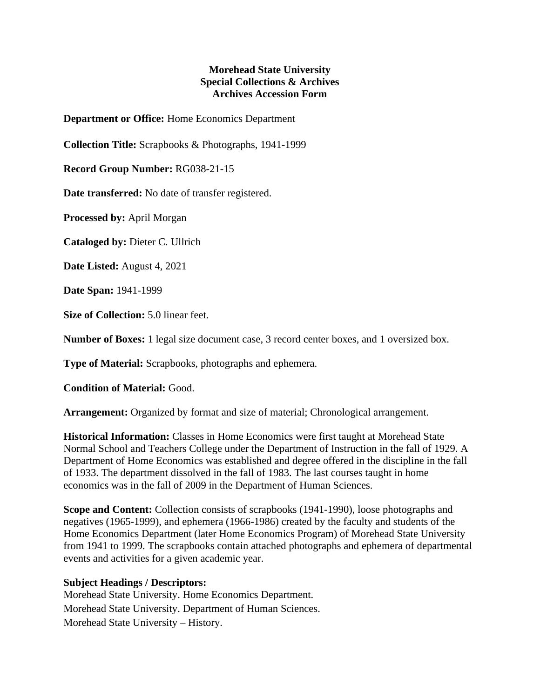## **Morehead State University Special Collections & Archives Archives Accession Form**

**Department or Office:** Home Economics Department

**Collection Title:** Scrapbooks & Photographs, 1941-1999

**Record Group Number:** RG038-21-15

**Date transferred:** No date of transfer registered.

**Processed by:** April Morgan

**Cataloged by:** Dieter C. Ullrich

**Date Listed:** August 4, 2021

**Date Span:** 1941-1999

**Size of Collection:** 5.0 linear feet.

**Number of Boxes:** 1 legal size document case, 3 record center boxes, and 1 oversized box.

**Type of Material:** Scrapbooks, photographs and ephemera.

**Condition of Material:** Good.

**Arrangement:** Organized by format and size of material; Chronological arrangement.

**Historical Information:** Classes in Home Economics were first taught at Morehead State Normal School and Teachers College under the Department of Instruction in the fall of 1929. A Department of Home Economics was established and degree offered in the discipline in the fall of 1933. The department dissolved in the fall of 1983. The last courses taught in home economics was in the fall of 2009 in the Department of Human Sciences.

**Scope and Content:** Collection consists of scrapbooks (1941-1990), loose photographs and negatives (1965-1999), and ephemera (1966-1986) created by the faculty and students of the Home Economics Department (later Home Economics Program) of Morehead State University from 1941 to 1999. The scrapbooks contain attached photographs and ephemera of departmental events and activities for a given academic year.

## **Subject Headings / Descriptors:**

Morehead State University. Home Economics Department. Morehead State University. Department of Human Sciences. Morehead State University – History.